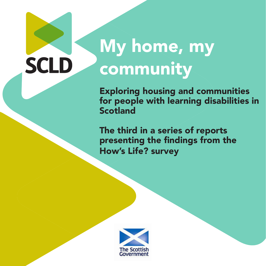# My home, my community

**SCLD** 

Exploring housing and communities for people with learning disabilities in Scotland

The third in a series of reports presenting the findings from the How's Life? survey

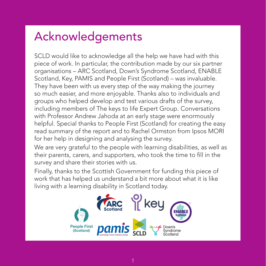## Acknowledgements

SCLD would like to acknowledge all the help we have had with this piece of work. In particular, the contribution made by our six partner organisations – ARC Scotland, Down's Syndrome Scotland, ENABLE Scotland, Key, PAMIS and People First (Scotland) – was invaluable. They have been with us every step of the way making the journey so much easier, and more enjoyable. Thanks also to individuals and groups who helped develop and test various drafts of the survey, including members of The keys to life Expert Group. Conversations with Professor Andrew Jahoda at an early stage were enormously helpful. Special thanks to People First (Scotland) for creating the easy read summary of the report and to Rachel Ormston from Ipsos MORI for her help in designing and analysing the survey.

We are very grateful to the people with learning disabilities, as well as their parents, carers, and supporters, who took the time to fill in the survey and share their stories with us.

Finally, thanks to the Scottish Government for funding this piece of work that has helped us understand a bit more about what it is like living with a learning disability in Scotland today.

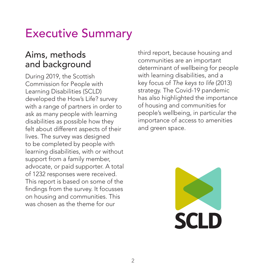## Executive Summary

## Aims, methods and background

During 2019, the Scottish Commission for People with Learning Disabilities (SCLD) developed the How's Life? survey with a range of partners in order to ask as many people with learning disabilities as possible how they felt about different aspects of their lives. The survey was designed to be completed by people with learning disabilities, with or without support from a family member, advocate, or paid supporter. A total of 1232 responses were received. This report is based on some of the findings from the survey. It focusses on housing and communities. This was chosen as the theme for our

third report, because housing and communities are an important determinant of wellbeing for people with learning disabilities, and a key focus of *The keys to life* (2013) strategy. The Covid-19 pandemic has also highlighted the importance of housing and communities for people's wellbeing, in particular the importance of access to amenities and green space.

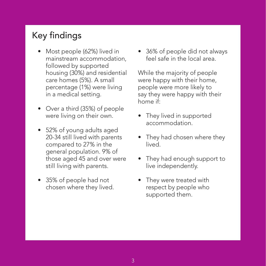## Key findings

- Most people (62%) lived in mainstream accommodation, followed by supported housing (30%) and residential care homes (5%). A small percentage (1%) were living in a medical setting.
- Over a third (35%) of people were living on their own.
- 52% of young adults aged 20-34 still lived with parents compared to 27% in the general population. 9% of those aged 45 and over were still living with parents.
- 35% of people had not chosen where they lived.

• 36% of people did not always feel safe in the local area.

While the majority of people were happy with their home, people were more likely to say they were happy with their home if:

- They lived in supported accommodation.
- They had chosen where they lived.
- They had enough support to live independently.
- They were treated with respect by people who supported them.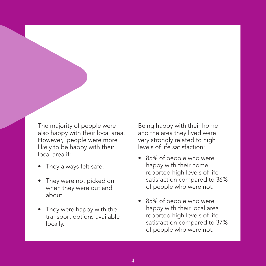The majority of people were also happy with their local area. However, people were more likely to be happy with their local area if:

- They always felt safe.
- They were not picked on when they were out and about.
- They were happy with the transport options available locally.

Being happy with their home and the area they lived were very strongly related to high levels of life satisfaction:

- 85% of people who were happy with their home reported high levels of life satisfaction compared to 36% of people who were not.
- 85% of people who were happy with their local area reported high levels of life satisfaction compared to 37% of people who were not.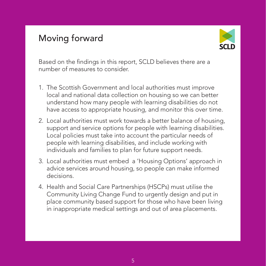## Moving forward



Based on the findings in this report, SCLD believes there are a number of measures to consider.

- 1. The Scottish Government and local authorities must improve local and national data collection on housing so we can better understand how many people with learning disabilities do not have access to appropriate housing, and monitor this over time.
- 2. Local authorities must work towards a better balance of housing, support and service options for people with learning disabilities. Local policies must take into account the particular needs of people with learning disabilities, and include working with individuals and families to plan for future support needs.
- 3. Local authorities must embed a 'Housing Options' approach in advice services around housing, so people can make informed decisions.
- 4. Health and Social Care Partnerships (HSCPs) must utilise the Community Living Change Fund to urgently design and put in place community based support for those who have been living in inappropriate medical settings and out of area placements.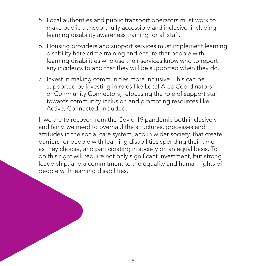- 5. Local authorities and public transport operators must work to make public transport fully accessible and inclusive, including learning disability awareness training for all staff.
- 6. Housing providers and support services must implement learning disability hate crime training and ensure that people with learning disabilities who use their services know who to report any incidents to and that they will be supported when they do.
- 7. Invest in making communities more inclusive. This can be supported by investing in roles like Local Area Coordinators or Community Connectors, refocusing the role of support staff towards community inclusion and promoting resources like Active, Connected, Included.

If we are to recover from the Covid-19 pandemic both inclusively and fairly, we need to overhaul the structures, processes and attitudes in the social care system, and in wider society, that create barriers for people with learning disabilities spending their time as they choose, and participating in society on an equal basis. To do this right will require not only significant investment, but strong leadership, and a commitment to the equality and human rights of people with learning disabilities.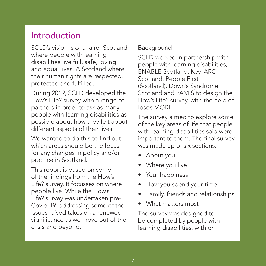## Introduction

SCLD's vision is of a fairer Scotland where people with learning disabilities live full, safe, loving and equal lives. A Scotland where their human rights are respected, protected and fulfilled.

During 2019, SCLD developed the How's Life? survey with a range of partners in order to ask as many people with learning disabilities as possible about how they felt about different aspects of their lives.

We wanted to do this to find out which areas should be the focus for any changes in policy and/or practice in Scotland.

This report is based on some of the findings from the How's Life? survey. It focusses on where people live. While the How's Life? survey was undertaken pre-Covid-19, addressing some of the issues raised takes on a renewed significance as we move out of the crisis and beyond.

## Background

SCLD worked in partnership with people with learning disabilities, ENABLE Scotland, Key, ARC Scotland, People First (Scotland), Down's Syndrome Scotland and PAMIS to design the How's Life? survey, with the help of Ipsos MORI.

The survey aimed to explore some of the key areas of life that people with learning disabilities said were important to them. The final survey was made up of six sections:

- About you
- Where you live
- Your happiness
- How you spend your time
- Family, friends and relationships
- What matters most

The survey was designed to be completed by people with learning disabilities, with or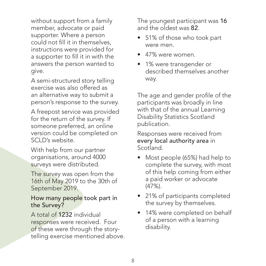without support from a family member, advocate or paid supporter. Where a person could not fill it in themselves, instructions were provided for a supporter to fill it in with the answers the person wanted to give.

A semi-structured story telling exercise was also offered as an alternative way to submit a person's response to the survey.

A freepost service was provided for the return of the survey. If someone preferred, an online version could be completed on SCLD's website.

With help from our partner organisations, around 4000 surveys were distributed.

The survey was open from the 16th of May 2019 to the 30th of September 2019.

How many people took part in the Survey?

A total of 1232 individual responses were received. Four of these were through the storytelling exercise mentioned above. The youngest participant was 16 and the oldest was 82.

- 51% of those who took part were men.
- 47% were women.
- 1% were transgender or described themselves another way.

The age and gender profile of the participants was broadly in line with that of the annual Learning Disability Statistics Scotland publication.

Responses were received from every local authority area in Scotland.

- Most people (65%) had help to complete the survey, with most of this help coming from either a paid worker or advocate (47%).
- 21% of participants completed the survey by themselves.
- 14% were completed on behalf of a person with a learning disability.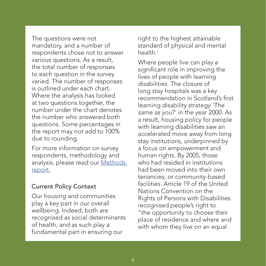<span id="page-9-0"></span>The questions were not mandatory, and a number of respondents chose not to answer various questions. As a result, the total number of responses to each question in the survey varied. The number of responses is outlined under each chart. Where the analysis has looked at two questions together, the number under the chart denotes the number who answered both questions. Some percentages in the report may not add to 100% due to rounding.

For more information on survey respondents, methodology and analysis, please read our [Methods](https://www.scld.org.uk/wp-content/uploads/2020/10/Methods-Report-October-2020.pdf)  [report.](https://www.scld.org.uk/wp-content/uploads/2020/10/Methods-Report-October-2020.pdf)

#### Current Policy Context

Our housing and communities play a key part in our overall wellbeing. Indeed, both are recognised as social determinants of health, and as such play a fundamental part in ensuring our

right to the highest attainable standard of physical and mental health.<sup>i</sup>

Where people live can play a significant role in improving the lives of people with learning disabilities. The closure of long stay hospitals was a key recommendation in Scotland's first learning disability strategy *'The same as you*?' in the year 2000. As a result, housing policy for people with learning disabilities saw an accelerated move away from long stay institutions, underpinned by a focus on empowerment and human rights. By 2005, those who had resided in institutions had been moved into their own tenancies, or community-based facilities. Article 19 of the United Nations Convention on the Rights of Persons with Disabilities recognised people's right to "the opportunity to choose their place of residence and where and with whom they live on an equal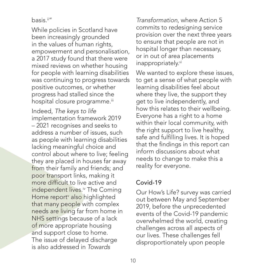#### <span id="page-10-0"></span>basis.[ii](#page-52-0) "

While policies in Scotland have been increasingly grounded in the values of human rights, empowerment and personalisation, a 2017 study found that there were mixed reviews on whether housing for people with learning disabilities was continuing to progress towards positive outcomes, or whether progress had stalled since the hospital closure programme.<sup>[iii](#page-52-0)</sup>

Indeed, *The keys to life* implementation framework 2019 – 2021 recognises and seeks to address a number of issues, such as people with learning disabilities lacking meaningful choice and control about where to live; feeling they are placed in houses far away from their family and friends; and poor transport links, making it more difficult to live active and independent lives.<sup>iv</sup> The Coming Home report<sup>v</sup> also highlighted that many people with complex needs are living far from home in NHS settings because of a lack of more appropriate housing and support close to home. The issue of delayed discharge is also addressed in *Towards* 

*Transformation*, where Action 5 commits to redesigning service provision over the next three years to ensure that people are not in hospital longer than necessary, or in out of area placements inappropriately[.vi](#page-52-0)

We wanted to explore these issues, to get a sense of what people with learning disabilities feel about where they live, the support they get to live independently, and how this relates to their wellbeing. Everyone has a right to a home within their local community, with the right support to live healthy, safe and fulfilling lives. It is hoped that the findings in this report can inform discussions about what needs to change to make this a reality for everyone.

### Covid-19

Our How's Life? survey was carried out between May and September 2019, before the unprecedented events of the Covid-19 pandemic overwhelmed the world, creating challenges across all aspects of our lives. These challenges fell disproportionately upon people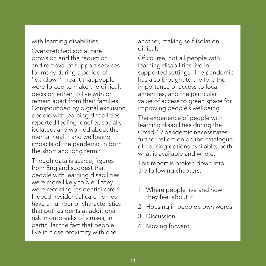<span id="page-11-0"></span>with learning disabilities.

Overstretched social care provision and the reduction and removal of support services for many during a period of 'lockdown' meant that people were forced to make the difficult decision either to live with or remain apart from their families. Compounded by digital exclusion, people with learning disabilities reported feeling lonelier, socially isolated, and worried about the mental health and wellbeing impacts of the pandemic in both the short and long term.<sup>vii</sup>

Though data is scarce, figures from England suggest that people with learning disabilities were more likely to die if they were receiving residential care.<sup>viii</sup> Indeed, residential care homes have a number of characteristics that put residents at additional risk in outbreaks of viruses, in particular the fact that people live in close proximity with one

another, making self-isolation difficult.

Of course, not all people with learning disabilities live in supported settings. The pandemic has also brought to the fore the importance of access to local amenities, and the particular value of access to green space for improving people's wellbeing.

The experience of people with learning disabilities during the Covid-19 pandemic necessitates further reflection on the catalogue of housing options available, both what is available and where.

This report is broken down into the following chapters:

- 1. Where people live and how they feel about it
- 2. Housing in people's own words
- 3. Discussion
- 4. Moving forward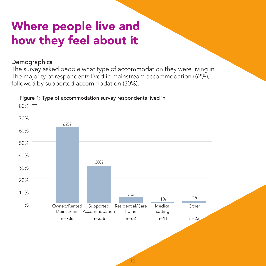## Where people live and how they feel about it

### **Demographics**

The survey asked people what type of accommodation they were living in. The majority of respondents lived in mainstream accommodation (62%), followed by supported accommodation (30%).



#### Figure 1: Type of accommodation survey respondents lived in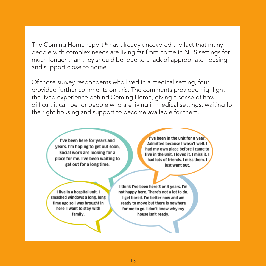<span id="page-13-0"></span>The Coming Home report [ix](#page-52-0) has already uncovered the fact that many people with complex needs are living far from home in NHS settings for much longer than they should be, due to a lack of appropriate housing and support close to home.

Of those survey respondents who lived in a medical setting, four provided further comments on this. The comments provided highlight the lived experience behind Coming Home, giving a sense of how difficult it can be for people who are living in medical settings, waiting for the right housing and support to become available for them.

> I've been here for years and years. I'm hoping to get out soon. Social work are looking for a place for me. I've been waiting to get out for a long time.

I've been in the unit for a year. Admitted because I wasn't well. I had my own place before I came to live in the unit. I loved it. I miss it. I had lots of friends. I miss them. I just want out.

I live in a hospital unit. I smashed windows a long, long time ago so I was brought in here. I want to stay with family.

I think I've been here 3 or 4 years. I'm not happy here. There's not a lot to do. I get bored. I'm better now and am ready to move but there is nowhere for me to go. I don't know why my house isn't ready.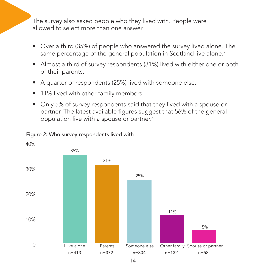<span id="page-14-0"></span>The survey also asked people who they lived with. People were allowed to select more than one answer.

- Over a third (35%) of people who answered the survey lived alone. The same percentage of the general population in Scotland live alone.<sup>x</sup>
- Almost a third of survey respondents (31%) lived with either one or both of their parents.
- A quarter of respondents (25%) lived with someone else.
- 11% lived with other family members.
- Only 5% of survey respondents said that they lived with a spouse or partner. The latest available figures suggest that 56% of the general population live with a spouse or partner.<sup>[xi](#page-52-0)</sup>



#### Figure 2: Who survey respondents lived with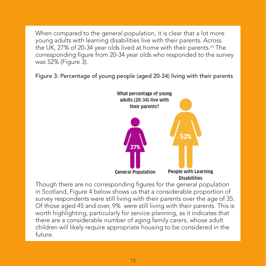<span id="page-15-0"></span>When compared to the general population, it is clear that a lot more young adults with learning disabilities live with their parents. Across the UK, 27% of 20-34 year olds lived at home with their parents.<sup>xii</sup> The corresponding figure from 20-34 year olds who responded to the survey was 52% (Figure 3).

Figure 3: Percentage of young people (aged 20-34) living with their parents



Though there are no corresponding figures for the general population in Scotland, Figure 4 below shows us that a considerable proportion of survey respondents were still living with their parents over the age of 35. Of those aged 45 and over, 9% were still living with their parents. This is worth highlighting, particularly for service planning, as it indicates that there are a considerable number of aging family carers, whose adult children will likely require appropriate housing to be considered in the future.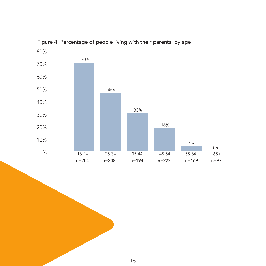

Figure 4: Percentage of people living with their parents, by age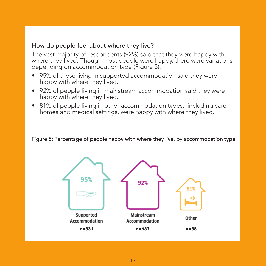### How do people feel about where they live?

The vast majority of respondents (92%) said that they were happy with where they lived. Though most people were happy, there were variations depending on accommodation type (Figure 5):

- 95% of those living in supported accommodation said they were happy with where they lived.
- 92% of people living in mainstream accommodation said they were happy with where they lived.
- 81% of people living in other accommodation types, including care homes and medical settings, were happy with where they lived.

Figure 5: Percentage of people happy with where they live, by accommodation type

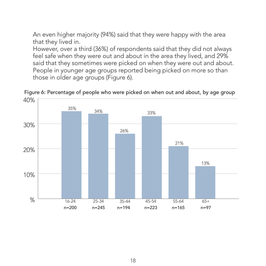An even higher majority (94%) said that they were happy with the area that they lived in.

However, over a third (36%) of respondents said that they did not always feel safe when they were out and about in the area they lived, and 29% said that they sometimes were picked on when they were out and about. People in younger age groups reported being picked on more so than those in older age groups (Figure 6).



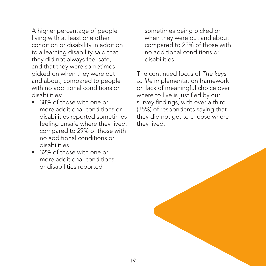A higher percentage of people living with at least one other condition or disability in addition to a learning disability said that they did not always feel safe, and that they were sometimes picked on when they were out and about, compared to people with no additional conditions or disabilities:

- 38% of those with one or more additional conditions or disabilities reported sometimes feeling unsafe where they lived, compared to 29% of those with no additional conditions or disabilities.
- 32% of those with one or more additional conditions or disabilities reported

sometimes being picked on when they were out and about compared to 22% of those with no additional conditions or disabilities.

The continued focus of *The keys to life* implementation framework on lack of meaningful choice over where to live is justified by our survey findings, with over a third (35%) of respondents saying that they did not get to choose where they lived.

19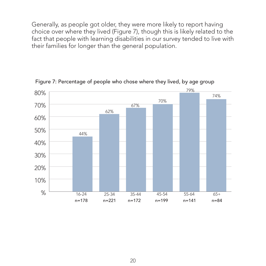Generally, as people got older, they were more likely to report having choice over where they lived (Figure 7), though this is likely related to the fact that people with learning disabilities in our survey tended to live with their families for longer than the general population.



Figure 7: Percentage of people who chose where they lived, by age group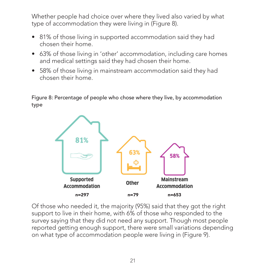Whether people had choice over where they lived also varied by what type of accommodation they were living in (Figure 8).

- 81% of those living in supported accommodation said they had chosen their home.
- 63% of those living in 'other' accommodation, including care homes and medical settings said they had chosen their home.
- 58% of those living in mainstream accommodation said they had chosen their home.

Figure 8: Percentage of people who chose where they live, by accommodation type



Of those who needed it, the majority (95%) said that they got the right support to live in their home, with 6% of those who responded to the survey saying that they did not need any support. Though most people reported getting enough support, there were small variations depending on what type of accommodation people were living in (Figure 9).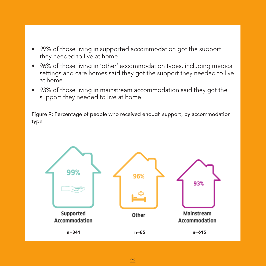- 99% of those living in supported accommodation got the support they needed to live at home.
- 96% of those living in 'other' accommodation types, including medical settings and care homes said they got the support they needed to live at home.
- 93% of those living in mainstream accommodation said they got the support they needed to live at home.

Figure 9: Percentage of people who received enough support, by accommodation type

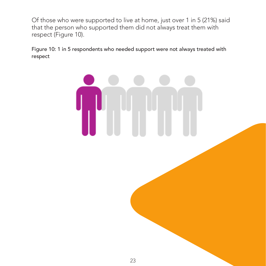Of those who were supported to live at home, just over 1 in 5 (21%) said that the person who supported them did not always treat them with respect (Figure 10).

Figure 10: 1 in 5 respondents who needed support were not always treated with respect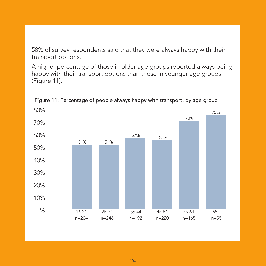58% of survey respondents said that they were always happy with their transport options.

A higher percentage of those in older age groups reported always being happy with their transport options than those in younger age groups (Figure 11).



Figure 11: Percentage of people always happy with transport, by age group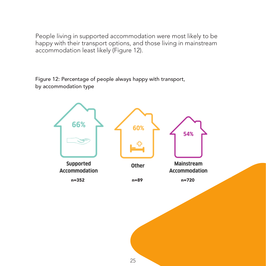People living in supported accommodation were most likely to be happy with their transport options, and those living in mainstream accommodation least likely (Figure 12).

Figure 12: Percentage of people always happy with transport, by accommodation type

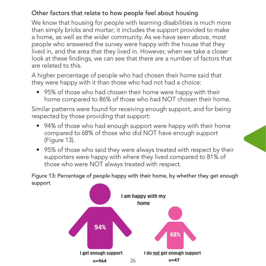### Other factors that relate to how people feel about housing

We know that housing for people with learning disabilities is much more than simply bricks and mortar; it includes the support provided to make a home, as well as the wider community. As we have seen above, most people who answered the survey were happy with the house that they lived in, and the area that they lived in. However, when we take a closer look at these findings, we can see that there are a number of factors that are related to this.

A higher percentage of people who had chosen their home said that they were happy with it than those who had not had a choice:

• 95% of those who had chosen their home were happy with their home compared to 86% of those who had NOT chosen their home.

Similar patterns were found for receiving enough support, and for being respected by those providing that support:

- 94% of those who had enough support were happy with their home compared to 68% of those who did NOT have enough support (Figure 13).
- 95% of those who said they were always treated with respect by their supporters were happy with where they lived compared to 81% of those who were NOT always treated with respect.

Figure 13: Percentage of people happy with their home, by whether they get enough support

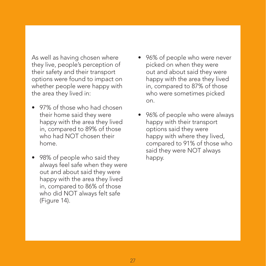As well as having chosen where they live, people's perception of their safety and their transport options were found to impact on whether people were happy with the area they lived in:

- 97% of those who had chosen their home said they were happy with the area they lived in, compared to 89% of those who had NOT chosen their home.
- 98% of people who said they always feel safe when they were out and about said they were happy with the area they lived in, compared to 86% of those who did NOT always felt safe (Figure 14).
- 96% of people who were never picked on when they were out and about said they were happy with the area they lived in, compared to 87% of those who were sometimes picked on.
- 96% of people who were always happy with their transport options said they were happy with where they lived, compared to 91% of those who said they were NOT always happy.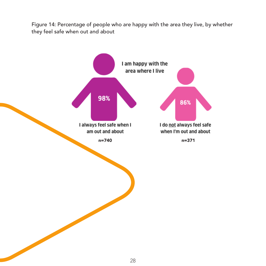Figure 14: Percentage of people who are happy with the area they live, by whether they feel safe when out and about

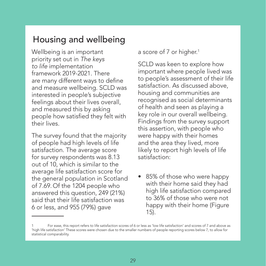## Housing and wellbeing

Wellbeing is an important priority set out in *The keys to life* implementation framework 2019-2021. There are many different ways to define and measure wellbeing. SCLD was interested in people's subjective feelings about their lives overall, and measured this by asking people how satisfied they felt with their lives.

The survey found that the majority of people had high levels of life satisfaction. The average score for survey respondents was 8.13 out of 10, which is similar to the average life satisfaction score for the general population in Scotland of 7.69. Of the 1204 people who answered this question, 249 (21%) said that their life satisfaction was 6 or less, and 955 (79%) gave

a score of 7 or higher.<sup>1</sup>

SCLD was keen to explore how important where people lived was to people's assessment of their life satisfaction. As discussed above, housing and communities are recognised as social determinants of health and seen as playing a key role in our overall wellbeing. Findings from the survey support this assertion, with people who were happy with their homes and the area they lived, more likely to report high levels of life satisfaction:

• 85% of those who were happy with their home said they had high life satisfaction compared to 36% of those who were not happy with their home (Figure 15).

<sup>1</sup> For ease, this report refers to life satisfaction scores of 6 or less as 'low life satisfaction' and scores of 7 and above as 'high life satisfaction' These scores were chosen due to the smaller numbers of people reporting scores below 7, to allow for statistical comparability.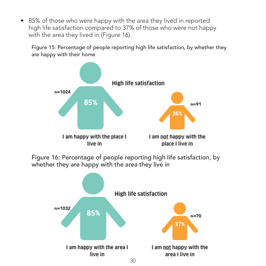• 85% of those who were happy with the area they lived in reported high life satisfaction compared to 37% of those who were not happy with the area they lived in (Figure 16).

Figure 15: Percentage of people reporting high life satisfaction, by whether they are happy with their home



Figure 16: Percentage of people reporting high life satisfaction, by whether they are happy with the area they live in

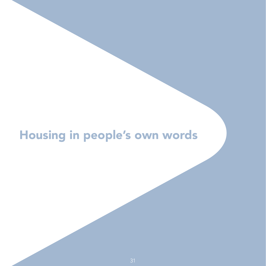## Housing in people's own words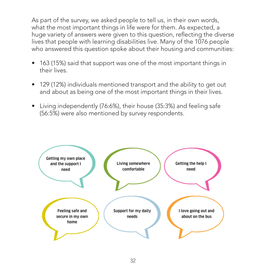As part of the survey, we asked people to tell us, in their own words, what the most important things in life were for them. As expected, a huge variety of answers were given to this question, reflecting the diverse lives that people with learning disabilities live. Many of the 1076 people who answered this question spoke about their housing and communities:

- 163 (15%) said that support was one of the most important things in their lives.
- 129 (12%) individuals mentioned transport and the ability to get out and about as being one of the most important things in their lives.
- Living independently (76:6%), their house (35:3%) and feeling safe (56:5%) were also mentioned by survey respondents.

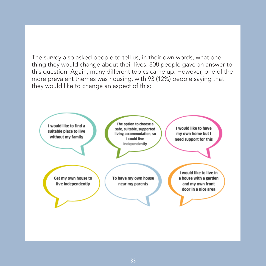The survey also asked people to tell us, in their own words, what one thing they would change about their lives. 808 people gave an answer to this question. Again, many different topics came up. However, one of the more prevalent themes was housing, with 93 (12%) people saying that they would like to change an aspect of this:

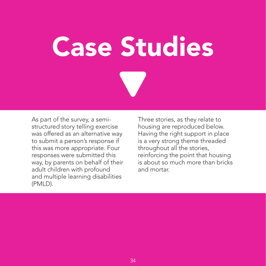Case Studies

As part of the survey, a semistructured story telling exercise was offered as an alternative way to submit a person's response if this was more appropriate. Four responses were submitted this way, by parents on behalf of their adult children with profound and multiple learning disabilities (PMLD).

Three stories, as they relate to housing are reproduced below. Having the right support in place is a very strong theme threaded throughout all the stories, reinforcing the point that housing is about so much more than bricks and mortar.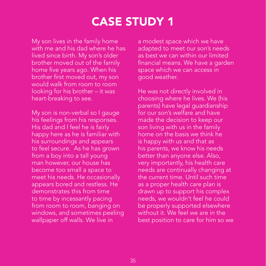## CASE STUDY 1

My son lives in the family home with me and his dad where he has lived since birth. My son's older brother moved out of the family home five years ago. When his brother first moved out, my son would walk from room to room looking for his brother – it was heart-breaking to see.

My son is non-verbal so I gauge his feelings from his responses. His dad and I feel he is fairly happy here as he is familiar with his surroundings and appears to feel secure. As he has grown from a boy into a tall young man however, our house has become too small a space to meet his needs. He occasionally appears bored and restless. He demonstrates this from time to time by incessantly pacing from room to room, banging on windows, and sometimes peeling wallpaper off walls. We live in

a modest space which we have adapted to meet our son's needs as best we can within our limited financial means. We have a garden space which we can access in good weather.

He was not directly involved in choosing where he lives. We (his parents) have legal guardianship for our son's welfare and have made the decision to keep our son living with us in the family home on the basis we think he is happy with us and that as his parents, we know his needs better than anyone else. Also, very importantly, his health care needs are continually changing at the current time. Until such time as a proper health care plan is drawn up to support his complex needs, we wouldn't feel he could be properly supported elsewhere without it. We feel we are in the best position to care for him so we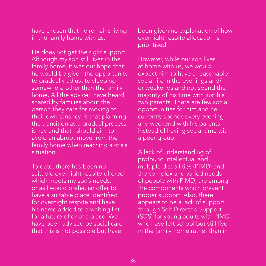have chosen that he remains living in the family home with us.

He does not get the right support. Although my son still lives in the family home, it was our hope that he would be given the opportunity to gradually adjust to sleeping somewhere other than the family home. All the advice I have heard shared by families about the person they care for moving to their own tenancy, is that planning the transition as a gradual process is key and that I should aim to avoid an abrupt move from the family home when reaching a crisis situation.

To date, there has been no suitable overnight respite offered which meets my son's needs, or as I would prefer, an offer to have a suitable place identified for overnight respite and have his name added to a waiting list for a future offer of a place. We have been advised by social care that this is not possible but have

been given no explanation of how overnight respite allocation is prioritised.

However, while our son lives at home with us, we would expect him to have a reasonable social life in the evenings and/ or weekends and not spend the majority of his time with just his two parents. There are few social opportunities for him and he currently spends every evening and weekend with his parents instead of having social time with a peer group.

A lack of understanding of profound intellectual and multiple disabilities (PIMD) and the complex and varied needs of people with PIMD, are among the components which prevent proper support. Also, there appears to be a lack of support through Self Directed Support (SDS) for young adults with PIMD who have left school but still live in the family home rather than in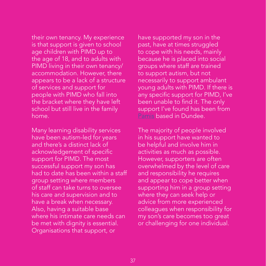their own tenancy. My experience is that support is given to school age children with PIMD up to the age of 18, and to adults with PIMD living in their own tenancy/ accommodation. However, there appears to be a lack of a structure of services and support for people with PIMD who fall into the bracket where they have left school but still live in the family home.

Many learning disability services have been autism-led for years and there's a distinct lack of acknowledgement of specific support for PIMD. The most successful support my son has had to date has been within a staff group setting where members of staff can take turns to oversee his care and supervision and to have a break when necessary. Also, having a suitable base where his intimate care needs can be met with dignity is essential. Organisations that support, or

have supported my son in the past, have at times struggled to cope with his needs, mainly because he is placed into social groups where staff are trained to support autism, but not necessarily to support ambulant young adults with PIMD. If there is any specific support for PIMD, I've been unable to find it. The only support I've found has been from [Pamis](https://pamis.org.uk/) based in Dundee.

The majority of people involved in his support have wanted to be helpful and involve him in activities as much as possible. However, supporters are often overwhelmed by the level of care and responsibility he requires and appear to cope better when supporting him in a group setting where they can seek help or advice from more experienced colleagues when responsibility for my son's care becomes too great or challenging for one individual.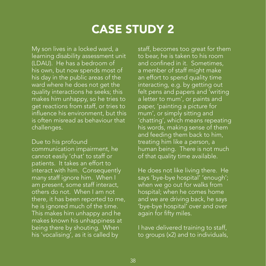## CASE STUDY 2

My son lives in a locked ward, a learning disability assessment unit (LDAU). He has a bedroom of his own, but now spends most of his day in the public areas of the ward where he does not get the quality interactions he seeks; this makes him unhappy, so he tries to get reactions from staff, or tries to influence his environment, but this is often misread as behaviour that challenges.

Due to his profound communication impairment, he cannot easily 'chat' to staff or patients. It takes an effort to interact with him. Consequently many staff ignore him. When I am present, some staff interact, others do not. When I am not there, it has been reported to me, he is ignored much of the time. This makes him unhappy and he makes known his unhappiness at being there by shouting. When his 'vocalising', as it is called by

staff, becomes too great for them to bear, he is taken to his room and confined in it. Sometimes, a member of staff might make an effort to spend quality time interacting, e.g. by getting out felt pens and papers and 'writing a letter to mum', or paints and paper, 'painting a picture for mum', or simply sitting and 'chatting', which means repeating his words, making sense of them and feeding them back to him, treating him like a person, a human being. There is not much of that quality time available.

He does not like living there. He says 'bye-bye hospital' 'enough'; when we go out for walks from hospital; when he comes home and we are driving back, he says 'bye-bye hospital' over and over again for fifty miles.

I have delivered training to staff, to groups (x2) and to individuals,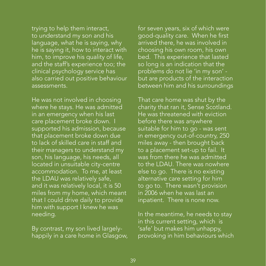trying to help them interact, to understand my son and his language, what he is saying, why he is saying it, how to interact with him, to improve his quality of life, and the staff's experience too; the clinical psychology service has also carried out positive behaviour assessments.

He was not involved in choosing where he stays. He was admitted in an emergency when his last care placement broke down. I supported his admission, because that placement broke down due to lack of skilled care in staff and their managers to understand my son, his language, his needs, all located in unsuitable city-centre accommodation. To me, at least the LDAU was relatively safe, and it was relatively local, it is 50 miles from my home, which meant that I could drive daily to provide him with support I knew he was needing.

By contrast, my son lived largelyhappily in a care home in Glasgow, for seven years, six of which were good-quality care. When he first arrived there, he was involved in choosing his own room, his own bed. This experience that lasted so long is an indication that the problems do not lie 'in my son' but are products of the interaction between him and his surroundings

That care home was shut by the charity that ran it, Sense Scotland. He was threatened with eviction before there was anywhere suitable for him to go - was sent in emergency out-of-country, 250 miles away - then brought back to a placement set-up to fail. It was from there he was admitted to the LDAU. There was nowhere else to go. There is no existing alternative care setting for him to go to. There wasn't provision in 2006 when he was last an inpatient. There is none now.

In the meantime, he needs to stay in this current setting, which is 'safe' but makes him unhappy, provoking in him behaviours which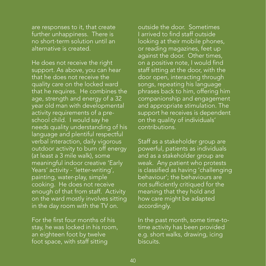are responses to it, that create further unhappiness. There is no short-term solution until an alternative is created.

He does not receive the right support. As above, you can hear that he does not receive the quality care on the locked ward that he requires. He combines the age, strength and energy of a 32 year old man with developmental activity requirements of a preschool child. I would say he needs quality understanding of his language and plentiful respectful verbal interaction, daily vigorous outdoor activity to burn off energy (at least a 3 mile walk), some meaningful indoor creative 'Early Years' activity - 'letter-writing', painting, water-play, simple cooking. He does not receive enough of that from staff. Activity on the ward mostly involves sitting in the day room with the TV on.

For the first four months of his stay, he was locked in his room, an eighteen foot by twelve foot space, with staff sitting

outside the door. Sometimes I arrived to find staff outside looking at their mobile phones, or reading magazines, feet up against the door. Other times, on a positive note, I would find staff sitting at the door, with the door open, interacting through songs, repeating his language phrases back to him, offering him companionship and engagement and appropriate stimulation. The support he receives is dependent on the quality of individuals' contributions.

Staff as a stakeholder group are powerful, patients as individuals and as a stakeholder group are weak. Any patient who protests is classified as having 'challenging behaviour'; the behaviours are not sufficiently critiqued for the meaning that they hold and how care might be adapted accordingly.

In the past month, some time-totime activity has been provided e.g. short walks, drawing, icing biscuits.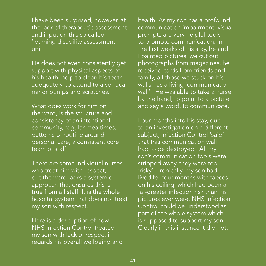I have been surprised, however, at the lack of therapeutic assessment and input on this so called 'learning disability assessment unit'

He does not even consistently get support with physical aspects of his health, help to clean his teeth adequately, to attend to a verruca, minor bumps and scratches.

What does work for him on the ward, is the structure and consistency of an intentional community, regular mealtimes, patterns of routine around personal care, a consistent core team of staff.

There are some individual nurses who treat him with respect, but the ward lacks a systemic approach that ensures this is true from all staff. It is the whole hospital system that does not treat my son with respect.

Here is a description of how NHS Infection Control treated my son with lack of respect in regards his overall wellbeing and health. As my son has a profound communication impairment, visual prompts are very helpful tools to promote communication. In the first weeks of his stay, he and I painted pictures, we cut out photographs from magazines, he received cards from friends and family, all those we stuck on his walls - as a living 'communication wall'. He was able to take a nurse by the hand, to point to a picture and say a word, to communicate.

Four months into his stay, due to an investigation on a different subject, Infection Control 'said' that this communication wall had to be destroyed. All my son's communication tools were stripped away, they were too 'risky'. Ironically, my son had lived for four months with faeces on his ceiling, which had been a far-greater infection risk than his pictures ever were. NHS Infection Control could be understood as part of the whole system which is supposed to support my son. Clearly in this instance it did not.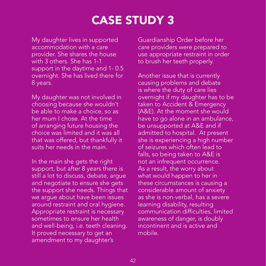## CASE STUDY 3

My daughter lives in supported accommodation with a care provider. She shares the house with 3 others. She has 1-1 support in the daytime and 1- 0.5 overnight. She has lived there for 8 years.

My daughter was not involved in choosing because she wouldn't be able to make a choice, so as her mum I chose. At the time of arranging future housing the choice was limited and it was all that was offered, but thankfully it suits her needs in the main.

In the main she gets the right support, but after 8 years there is still a lot to discuss, debate, argue and negotiate to ensure she gets the support she needs. Things that we argue about have been issues around restraint and oral hygiene. Appropriate restraint is necessary sometimes to ensure her health and well-being, i.e. teeth cleaning. It proved necessary to get an amendment to my daughter's

Guardianship Order before her care providers were prepared to use appropriate restraint in order to brush her teeth properly.

Another issue that is currently causing problems and debate is where the duty of care lies overnight if my daughter has to be taken to Accident & Emergency (A&E). At the moment she would have to go alone in an ambulance, be unsupported at A&E and if admitted to hospital. At present she is experiencing a high number of seizures which often lead to falls, so being taken to A&E is not an infrequent occurrence. As a result, the worry about what would happen to her in these circumstances is causing a considerable amount of anxiety as she is non-verbal, has a severe learning disability, resulting communication difficulties, limited awareness of danger, is doubly incontinent and is active and mobile.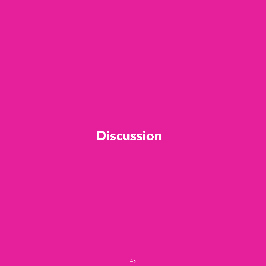## **Discussion**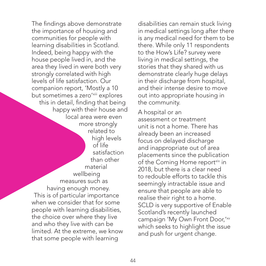<span id="page-44-0"></span>The findings above demonstrate the importance of housing and communities for people with learning disabilities in Scotland. Indeed, being happy with the house people lived in, and the area they lived in were both very strongly correlated with high levels of life satisfaction. Our companion report, 'Mostly a 10 but sometimes a zero'[xiii](#page-52-0) explores this in detail, finding that being happy with their house and local area were even more strongly related to high levels of life satisfaction than other material wellbeing measures such as having enough money. This is of particular importance when we consider that for some people with learning disabilities, the choice over where they live and who they live with can be limited. At the extreme, we know that some people with learning

disabilities can remain stuck living in medical settings long after there is any medical need for them to be there. While only 11 respondents to the How's Life? survey were living in medical settings, the stories that they shared with us demonstrate clearly huge delays in their discharge from hospital, and their intense desire to move out into appropriate housing in the community.

A hospital or an assessment or treatment unit is not a home. There has already been an increased focus on delayed discharge and inappropriate out of area placements since the publication of the Coming Home report<sup>[xiv](#page-52-0)</sup> in 2018, but there is a clear need to redouble efforts to tackle this seemingly intractable issue and ensure that people are able to realise their right to a home. SCLD is very supportive of Enable Scotland's recently launched campaign 'My Own Front Door,['xv](#page-52-0) which seeks to highlight the issue and push for urgent change.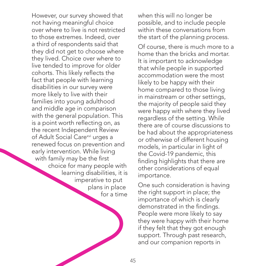<span id="page-45-0"></span>However, our survey showed that not having meaningful choice over where to live is not restricted to those extremes. Indeed, over a third of respondents said that they did not get to choose where they lived. Choice over where to live tended to improve for older cohorts. This likely reflects the fact that people with learning disabilities in our survey were more likely to live with their families into young adulthood and middle age in comparison with the general population. This is a point worth reflecting on, as the recent Independent Review of Adult Social Care<sup>xvi</sup> urges a renewed focus on prevention and early intervention. While living with family may be the first choice for many people with learning disabilities, it is imperative to put plans in place for a time

when this will no longer be possible, and to include people within these conversations from the start of the planning process.

Of course, there is much more to a home than the bricks and mortar. It is important to acknowledge that while people in supported accommodation were the most likely to be happy with their home compared to those living in mainstream or other settings, the majority of people said they were happy with where they lived regardless of the setting. While there are of course discussions to be had about the appropriateness or otherwise of different housing models, in particular in light of the Covid-19 pandemic, this finding highlights that there are other considerations of equal importance.

One such consideration is having the right support in place; the importance of which is clearly demonstrated in the findings. People were more likely to say they were happy with their home if they felt that they got enough support. Through past research, and our companion reports in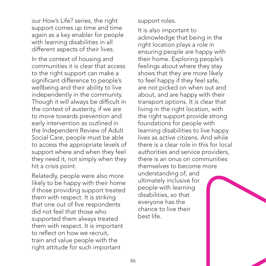our How's Life? series, the right support comes up time and time again as a key enabler for people with learning disabilities in all different aspects of their lives.

In the context of housing and communities it is clear that access to the right support can make a significant difference to people's wellbeing and their ability to live independently in the community. Though it will always be difficult in the context of austerity, if we are to move towards prevention and early intervention as outlined in the Independent Review of Adult Social Care, people must be able to access the appropriate levels of support where and when they feel they need it, not simply when they hit a crisis point.

Relatedly, people were also more likely to be happy with their home if those providing support treated them with respect. It is striking that one out of five respondents did not feel that those who supported them always treated them with respect. It is important to reflect on how we recruit, train and value people with the right attitude for such important

support roles.

It is also important to acknowledge that being in the right location plays a role in ensuring people are happy with their home. Exploring people's feelings about where they stay shows that they are more likely to feel happy if they feel safe, are not picked on when out and about, and are happy with their transport options. It is clear that living in the right location, with the right support provide strong foundations for people with learning disabilities to live happy lives as active citizens. And while there is a clear role in this for local authorities and service providers, there is an onus on communities themselves to become more understanding of, and ultimately inclusive for people with learning disabilities, so that everyone has the chance to live their best life.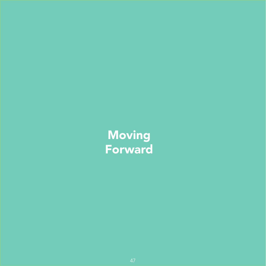## Moving Forward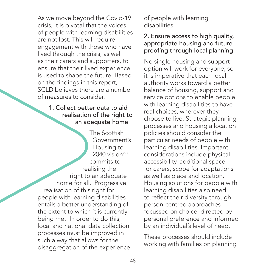<span id="page-48-0"></span>As we move beyond the Covid-19 crisis, it is pivotal that the voices of people with learning disabilities are not lost. This will require engagement with those who have lived through the crisis, as well as their carers and supporters, to ensure that their lived experience is used to shape the future. Based on the findings in this report, SCLD believes there are a number of measures to consider.

### 1. Collect better data to aid realisation of the right to an adequate home

The Scottish Government's Housing to 2040 vision<sup>xvii</sup> commits to realising the right to an adequate home for all. Progressive realisation of this right for people with learning disabilities entails a better understanding of the extent to which it is currently being met. In order to do this, local and national data collection processes must be improved in such a way that allows for the disaggregation of the experience

of people with learning disabilities.

### 2. Ensure access to high quality, appropriate housing and future proofing through local planning

No single housing and support option will work for everyone, so it is imperative that each local authority works toward a better balance of housing, support and service options to enable people with learning disabilities to have real choices, wherever they choose to live. Strategic planning processes and housing allocation policies should consider the particular needs of people with learning disabilities. Important considerations include physical accessibility, additional space for carers, scope for adaptations as well as place and location. Housing solutions for people with learning disabilities also need to reflect their diversity through person-centred approaches focussed on choice, directed by personal preference and informed by an individual's level of need.

These processes should include working with families on planning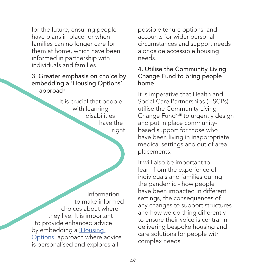<span id="page-49-0"></span>for the future, ensuring people have plans in place for when families can no longer care for them at home, which have been informed in partnership with individuals and families.

### 3. Greater emphasis on choice by embedding a 'Housing Options' approach

It is crucial that people with learning disabilities have the right

information to make informed choices about where they live. It is important to provide enhanced advice by embedding a *'Housing* [Options'](https://housingoptionsscotland.org.uk/) approach where advice is personalised and explores all

possible tenure options, and accounts for wider personal circumstances and support needs alongside accessible housing needs.

### 4. Utilise the Community Living Change Fund to bring people home

It is imperative that Health and Social Care Partnerships (HSCPs) utilise the Community Living Change Fund<sup>[xviii](#page-52-0)</sup> to urgently design and put in place communitybased support for those who have been living in inappropriate medical settings and out of area placements.

It will also be important to learn from the experience of individuals and families during the pandemic - how people have been impacted in different settings, the consequences of any changes to support structures and how we do thing differently to ensure their voice is central in delivering bespoke housing and care solutions for people with complex needs.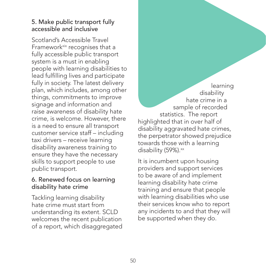### <span id="page-50-0"></span>5. Make public transport fully accessible and inclusive

Scotland's Accessible Travel Framework<sup>xix</sup> recognises that a fully accessible public transport system is a must in enabling people with learning disabilities to lead fulfilling lives and participate fully in society. The latest delivery plan, which includes, among other things, commitments to improve signage and information and raise awareness of disability hate crime, is welcome. However, there is a need to ensure all transport customer service staff – including taxi drivers – receive learning disability awareness training to ensure they have the necessary skills to support people to use public transport.

### 6. Renewed focus on learning disability hate crime

Tackling learning disability hate crime must start from understanding its extent. SCLD welcomes the recent publication of a report, which disaggregated

learning disability hate crime in a sample of recorded statistics. The report highlighted that in over half of disability aggravated hate crimes, the perpetrator showed prejudice towards those with a learning disability (59%).<sup>xx</sup>

It is incumbent upon housing providers and support services to be aware of and implement learning disability hate crime training and ensure that people with learning disabilities who use their services know who to report any incidents to and that they will be supported when they do.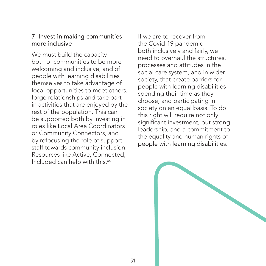#### <span id="page-51-0"></span>7. Invest in making communities more inclusive

We must build the capacity both of communities to be more welcoming and inclusive, and of people with learning disabilities themselves to take advantage of local opportunities to meet others, forge relationships and take part in activities that are enjoyed by the rest of the population. This can be supported both by investing in roles like Local Area Coordinators or Community Connectors, and by refocusing the role of support staff towards community inclusion. Resources like Active, Connected, Included can help with this.<sup>[xxi](#page-52-0)</sup>

If we are to recover from the Covid-19 pandemic both inclusively and fairly, we need to overhaul the structures, processes and attitudes in the social care system, and in wider society, that create barriers for people with learning disabilities spending their time as they choose, and participating in society on an equal basis. To do this right will require not only significant investment, but strong leadership, and a commitment to the equality and human rights of people with learning disabilities.

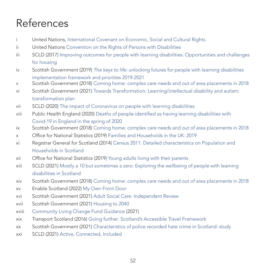## <span id="page-52-0"></span>References

- [i](#page-9-0) United Nations, [International Covenant on Economic, Social and Cultural Rights](https://www.ohchr.org/EN/ProfessionalInterest/Pages/CESCR.aspx)
- [ii](#page-10-0) United Nations [Convention on the Rights of Persons with Disabilities](http://www.un.org/development/desa/disabilities/convention-on-the-rights-of-persons-with-disabilities.html)
- [iii](#page-10-0) SCLD (2017) [Improving outcomes for people with learning disabilities: Opportunities and challenges](http://www.scld.org.uk/wp-content/uploads/2017/10/Improving-Outcomes-84pp.pdf) [for housing](http://www.scld.org.uk/wp-content/uploads/2017/10/Improving-Outcomes-84pp.pdf)
- [iv](#page-10-0) Scottish Government (2019) *The keys to life:* [unlocking futures for people with learning disabilities](https://keystolife.info/wp-content/uploads/2019/03/Keys-To-Life-Implementation-Framework.pdf) [implementation framework and priorities 2019-2021](https://keystolife.info/wp-content/uploads/2019/03/Keys-To-Life-Implementation-Framework.pdf)
- [v](#page-10-0) Scottish Government (2018) [Coming home: complex care needs and out of area placements in 2018](http://www.gov.scot/publications/coming-home-complex-care-needs-out-area-placements-report-2018/pages/5/)
- [vi](#page-10-0) Scottish Government (2021) [Towards Transformation: Learning/intellectual disability and autism:](http://www.gov.scot/publications/coming-home-complex-care-needs-out-area-placements-report-2018/pages/5/) [transformation plan](http://www.gov.scot/publications/coming-home-complex-care-needs-out-area-placements-report-2018/pages/5/)
- [vii](#page-11-0) SCLD (2020) [The impact of Coronavirus on people with learning disabilities](http://www.scld.org.uk/the-impact-of-coronavirus-on-people-with-learning-disabilities/)
- [viii](#page-11-0) Public Health England (2020) [Deaths of people identified as having learning disabilities with](https://assets.publishing.service.gov.uk/government/uploads/system/uploads/attachment_data/file/933612/COVID-19__learning_disabilities_mortality_report.pdf) [Covid-19 in England in the spring of 2020](https://assets.publishing.service.gov.uk/government/uploads/system/uploads/attachment_data/file/933612/COVID-19__learning_disabilities_mortality_report.pdf)
- [ix](#page-13-0) Scottish Government (2018) [Coming home: complex care needs and out of area placements in 2018](https://www.gov.scot/publications/coming-home-complex-care-needs-out-area-placements-report-2018/pages/5/)
- [x](#page-14-0) Office for National Statistics (2019) [Families and Households in the UK: 2019](http://www.ons.gov.uk/peoplepopulationandcommunity/birthsdeathsandmarriages/families/bulletins/familiesandhouseholds/latest#in-2019-there-were-82-million-people-living-alone)
- [xi](#page-14-0) Registrar General for Scotland (2014) [Census 2011: Detailed characteristics on Population and](http://www.scotlandscensus.gov.uk/documents/2011-census-key-results-from-release-3a-to-3n/) [Households in Scotland](http://www.scotlandscensus.gov.uk/documents/2011-census-key-results-from-release-3a-to-3n/)
- [xii](#page-15-0) Office for National Statistics (2019) [Young adults living with their parents](https://www.ons.gov.uk/peoplepopulationandcommunity/birthsdeathsandmarriages/families/datasets/youngadultslivingwiththeirparents)
- [xiii](#page-44-0) SCLD (2021) [Mostly a 10 but sometimes a zero: Exploring the wellbeing of people with learning](http://www.scld.org.uk/wp-content/uploads/2021/05/SCLD-Welbeing-Report_Final.pdf) [disabilities in Scotland](http://www.scld.org.uk/wp-content/uploads/2021/05/SCLD-Welbeing-Report_Final.pdf)
- [xiv](#page-44-0) Scottish Government (2018) [Coming home: complex care needs and out of area placements in 2018](http://www.gov.scot/publications/coming-home-complex-care-needs-out-area-placements-report-2018/pages/5/)
- [xv](#page-44-0) Enable Scotland (2022) [My Own Front Door](https://www.enable.org.uk/get-support-information/membership/campaigns/our-campaigns/myownfrontdoor/about-mofd/)
- [xvi](#page-45-0) Scottish Government (2021) [Adult Social Care: Independent Review](https://www.gov.scot/publications/independent-review-adult-social-care-scotland/)
- [xvii](#page-48-0) Scottish Government (2021) [Housing to 2040](https://www.gov.scot/publications/housing-2040-2/)
- [xviii](#page-49-0) [Community Living Change Fund Guidance](https://dghscp.co.uk/wp-content/uploads/2021/07/Agenda-Item-5-Background-Report-1-Community-Living-Change-Fund-Guidance.pdf) (2021)
- [xix](#page-50-0) Transport Scotland (2016) [Going further: Scotland's Accessible Travel Framework](https://accessibletravel.scot/wp-content/uploads/2016/11/Going-Further-Scotlands-Accessible-Travel-Framework-Full-Report.pdf)
- [xx](#page-50-0) Scottish Government (2021) [Characteristics of police recorded hate crime in Scotland: study](https://www.gov.scot/publications/study-characteristics-police-recorded-hate-crime-scotland/pages/1/)
- [xxi](#page-51-0) SCLD (2021) [Active, Connected, Included](https://www.scld.org.uk/lets-get-active-connected-and-included/)